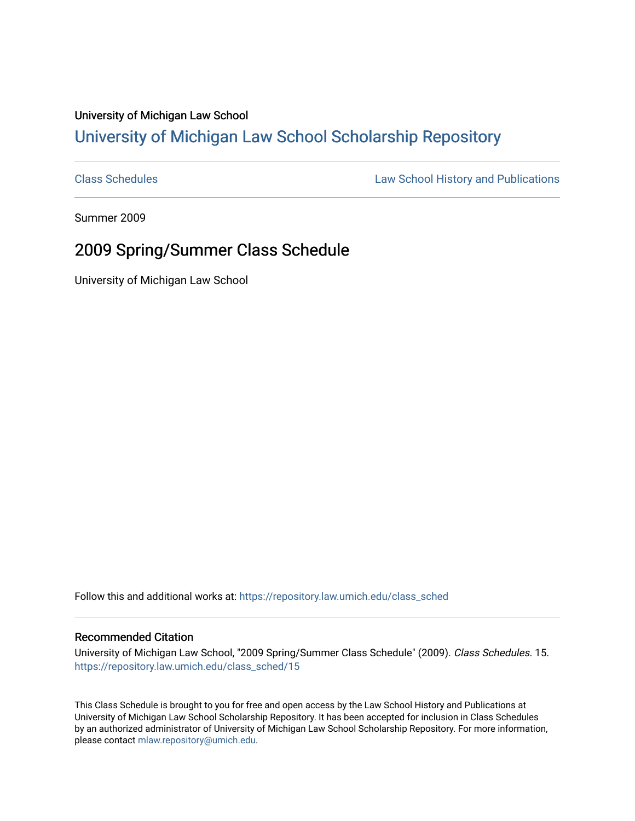## University of Michigan Law School [University of Michigan Law School Scholarship Repository](https://repository.law.umich.edu/)

[Class Schedules](https://repository.law.umich.edu/class_sched) **Law School History and Publications** 

Summer 2009

## 2009 Spring/Summer Class Schedule

University of Michigan Law School

Follow this and additional works at: [https://repository.law.umich.edu/class\\_sched](https://repository.law.umich.edu/class_sched?utm_source=repository.law.umich.edu%2Fclass_sched%2F15&utm_medium=PDF&utm_campaign=PDFCoverPages) 

## Recommended Citation

University of Michigan Law School, "2009 Spring/Summer Class Schedule" (2009). Class Schedules. 15. [https://repository.law.umich.edu/class\\_sched/15](https://repository.law.umich.edu/class_sched/15?utm_source=repository.law.umich.edu%2Fclass_sched%2F15&utm_medium=PDF&utm_campaign=PDFCoverPages)

This Class Schedule is brought to you for free and open access by the Law School History and Publications at University of Michigan Law School Scholarship Repository. It has been accepted for inclusion in Class Schedules by an authorized administrator of University of Michigan Law School Scholarship Repository. For more information, please contact [mlaw.repository@umich.edu.](mailto:mlaw.repository@umich.edu)